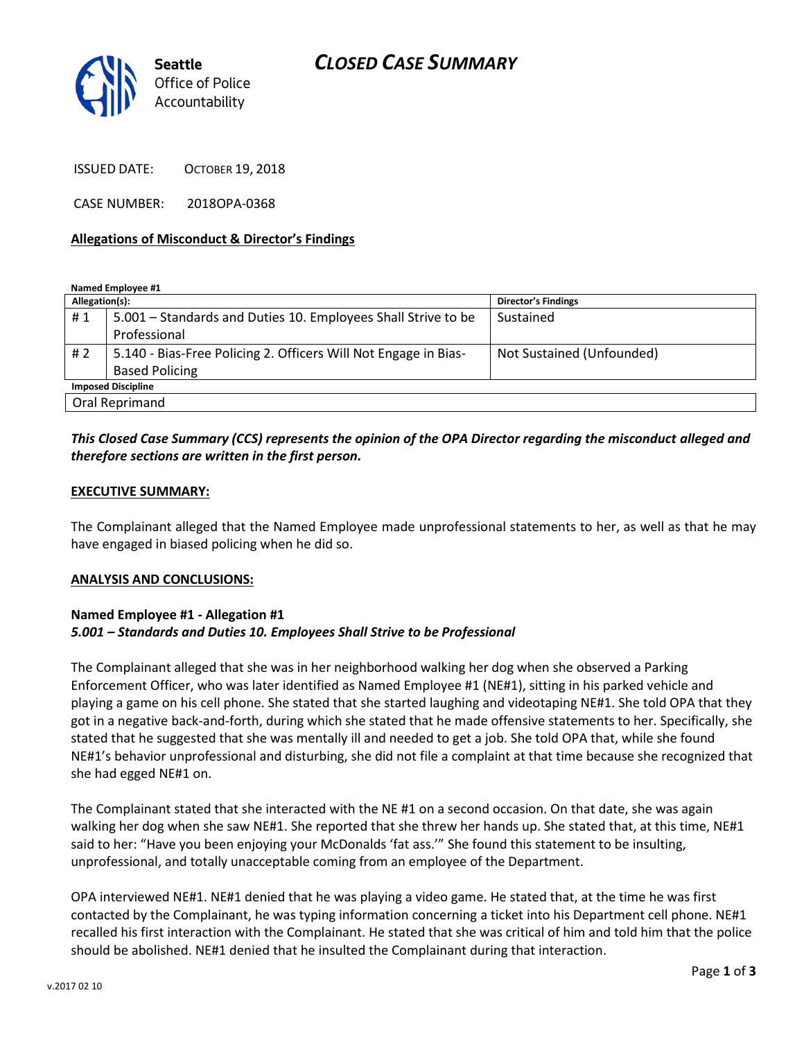# *CLOSED CASE SUMMARY*



ISSUED DATE: OCTOBER 19, 2018

CASE NUMBER: 2018OPA-0368

### **Allegations of Misconduct & Director's Findings**

**Named Employee #1**

| Allegation(s):            |                                                                 | <b>Director's Findings</b> |
|---------------------------|-----------------------------------------------------------------|----------------------------|
| #1                        | 5.001 – Standards and Duties 10. Employees Shall Strive to be   | Sustained                  |
|                           | Professional                                                    |                            |
| # 2                       | 5.140 - Bias-Free Policing 2. Officers Will Not Engage in Bias- | Not Sustained (Unfounded)  |
|                           | <b>Based Policing</b>                                           |                            |
| <b>Imposed Discipline</b> |                                                                 |                            |
| Oral Reprimand            |                                                                 |                            |

## *This Closed Case Summary (CCS) represents the opinion of the OPA Director regarding the misconduct alleged and therefore sections are written in the first person.*

### **EXECUTIVE SUMMARY:**

The Complainant alleged that the Named Employee made unprofessional statements to her, as well as that he may have engaged in biased policing when he did so.

#### **ANALYSIS AND CONCLUSIONS:**

## **Named Employee #1 - Allegation #1** *5.001 – Standards and Duties 10. Employees Shall Strive to be Professional*

The Complainant alleged that she was in her neighborhood walking her dog when she observed a Parking Enforcement Officer, who was later identified as Named Employee #1 (NE#1), sitting in his parked vehicle and playing a game on his cell phone. She stated that she started laughing and videotaping NE#1. She told OPA that they got in a negative back-and-forth, during which she stated that he made offensive statements to her. Specifically, she stated that he suggested that she was mentally ill and needed to get a job. She told OPA that, while she found NE#1's behavior unprofessional and disturbing, she did not file a complaint at that time because she recognized that she had egged NE#1 on.

The Complainant stated that she interacted with the NE #1 on a second occasion. On that date, she was again walking her dog when she saw NE#1. She reported that she threw her hands up. She stated that, at this time, NE#1 said to her: "Have you been enjoying your McDonalds 'fat ass.'" She found this statement to be insulting, unprofessional, and totally unacceptable coming from an employee of the Department.

OPA interviewed NE#1. NE#1 denied that he was playing a video game. He stated that, at the time he was first contacted by the Complainant, he was typing information concerning a ticket into his Department cell phone. NE#1 recalled his first interaction with the Complainant. He stated that she was critical of him and told him that the police should be abolished. NE#1 denied that he insulted the Complainant during that interaction.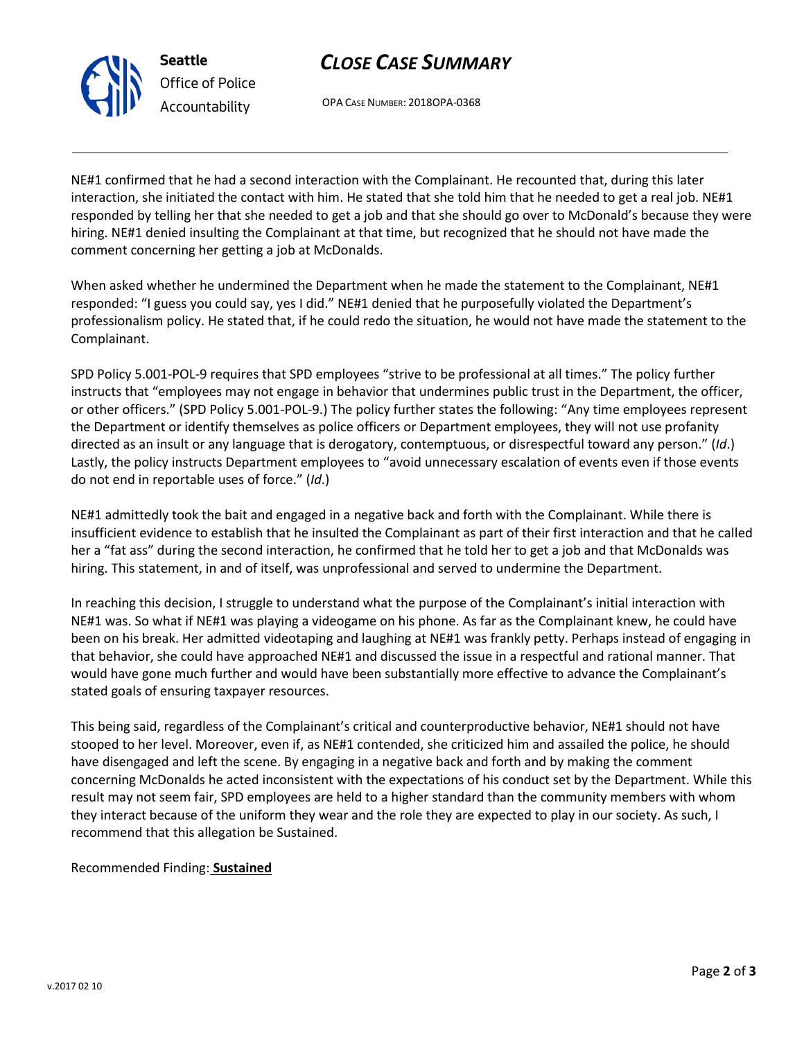

**Seattle** *Office of Police Accountability*

OPA CASE NUMBER: 2018OPA-0368

NE#1 confirmed that he had a second interaction with the Complainant. He recounted that, during this later interaction, she initiated the contact with him. He stated that she told him that he needed to get a real job. NE#1 responded by telling her that she needed to get a job and that she should go over to McDonald's because they were hiring. NE#1 denied insulting the Complainant at that time, but recognized that he should not have made the comment concerning her getting a job at McDonalds.

When asked whether he undermined the Department when he made the statement to the Complainant, NE#1 responded: "I guess you could say, yes I did." NE#1 denied that he purposefully violated the Department's professionalism policy. He stated that, if he could redo the situation, he would not have made the statement to the Complainant.

SPD Policy 5.001-POL-9 requires that SPD employees "strive to be professional at all times." The policy further instructs that "employees may not engage in behavior that undermines public trust in the Department, the officer, or other officers." (SPD Policy 5.001-POL-9.) The policy further states the following: "Any time employees represent the Department or identify themselves as police officers or Department employees, they will not use profanity directed as an insult or any language that is derogatory, contemptuous, or disrespectful toward any person." (*Id*.) Lastly, the policy instructs Department employees to "avoid unnecessary escalation of events even if those events do not end in reportable uses of force." (*Id*.)

NE#1 admittedly took the bait and engaged in a negative back and forth with the Complainant. While there is insufficient evidence to establish that he insulted the Complainant as part of their first interaction and that he called her a "fat ass" during the second interaction, he confirmed that he told her to get a job and that McDonalds was hiring. This statement, in and of itself, was unprofessional and served to undermine the Department.

In reaching this decision, I struggle to understand what the purpose of the Complainant's initial interaction with NE#1 was. So what if NE#1 was playing a videogame on his phone. As far as the Complainant knew, he could have been on his break. Her admitted videotaping and laughing at NE#1 was frankly petty. Perhaps instead of engaging in that behavior, she could have approached NE#1 and discussed the issue in a respectful and rational manner. That would have gone much further and would have been substantially more effective to advance the Complainant's stated goals of ensuring taxpayer resources.

This being said, regardless of the Complainant's critical and counterproductive behavior, NE#1 should not have stooped to her level. Moreover, even if, as NE#1 contended, she criticized him and assailed the police, he should have disengaged and left the scene. By engaging in a negative back and forth and by making the comment concerning McDonalds he acted inconsistent with the expectations of his conduct set by the Department. While this result may not seem fair, SPD employees are held to a higher standard than the community members with whom they interact because of the uniform they wear and the role they are expected to play in our society. As such, I recommend that this allegation be Sustained.

## Recommended Finding: **Sustained**